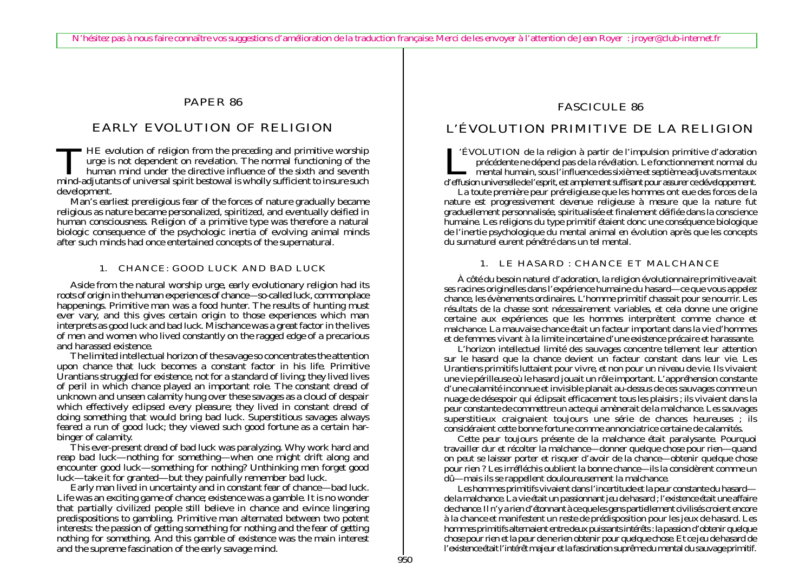# PAPER 86

# EARLY EVOLUTION OF RELIGION

THE evolution of religion from the preceding and primitive worship urge is not dependent on revelation. The normal functioning of the human mind under the directive influence of the sixth and seventh mind-adjutants of universal spirit bestowal is wholly sufficient to insure such development.

Man's earliest prereligious fear of the forces of nature gradually became religious as nature became personalized, spiritized, and eventually deified in human consciousness. Religion of a primitive type was therefore a natural biologic consequence of the psychologic inertia of evolving animal minds after such minds had once entertained concepts of the supernatural.

## 1. CHANCE: GOOD LUCK AND BAD LUCK

Aside from the natural worship urge, early evolutionary religion had its roots of origin in the human experiences of chance—so-called luck, commonplace happenings. Primitive man was a food hunter. The results of hunting must ever vary, and this gives certain origin to those experiences which man interprets as *good luck* and *bad luck.* Mischance was a great factor in the lives of men and women who lived constantly on the ragged edge of a precarious and harassed existence.

The limited intellectual horizon of the savage so concentrates the attention upon chance that luck becomes a constant factor in his life. Primitive Urantians struggled for existence, not for a standard of living; they lived lives of peril in which chance played an important role. The constant dread of unknown and unseen calamity hung over these savages as a cloud of despair which effectively eclipsed every pleasure; they lived in constant dread of doing something that would bring bad luck. Superstitious savages always feared a run of good luck; they viewed such good fortune as a certain harbinger of calamity.

This ever-present dread of bad luck was paralyzing. Why work hard and reap bad luck—nothing for something—when one might drift along and encounter good luck—something for nothing? Unthinking men forget good luck—take it for granted—but they painfully remember bad luck.

Early man lived in uncertainty and in constant fear of chance—bad luck. Life was an exciting game of chance; existence was a gamble. It is no wonder that partially civilized people still believe in chance and evince lingering predispositions to gambling. Primitive man alternated between two potent interests: the passion of getting something for nothing and the fear of getting nothing for something. And this gamble of existence was the main interest and the supreme fascination of the early savage mind.

# FASCICULE 86

# L'ÉVOLUTION PRIMITIVE DE LA RELIGION

'ÉVOLUTION de la religion à partir de l'impulsion primitive d'adoration L précédente ne dépend pas de la révélation. Le fonctionnement normal du mental humain, sous l'influence des sixième et septième adjuvats mentaux d'effusion universelle de l'esprit, est amplement suffisant pour assurer ce développement.

La toute première peur préreligieuse que les hommes ont eue des forces de la nature est progressivement devenue religieuse à mesure que la nature fut graduellement personnalisée, spiritualisée et finalement déifiée dans la conscience humaine. Les religions du type primitif étaient donc une conséquence biologique de l'inertie psychologique du mental animal en évolution après que les concepts du surnaturel eurent pénétré dans un tel mental.

### 1. LE HASARD : CHANCE ET MALCHANCE

À côté du besoin naturel d'adoration, la religion évolutionnaire primitive avait ses racines originelles dans l'expérience humaine du hasard—ce que vous appelez chance, les évènements ordinaires. L'homme primitif chassait pour se nourrir. Les résultats de la chasse sont nécessairement variables, et cela donne une origine certaine aux expériences que les hommes interprètent comme *chance* et *malchance.* La mauvaise chance était un facteur important dans la vie d'hommes et de femmes vivant à la limite incertaine d'une existence précaire et harassante.

L'horizon intellectuel limité des sauvages concentre tellement leur attention sur le hasard que la chance devient un facteur constant dans leur vie. Les Urantiens primitifs luttaient pour vivre, et non pour un niveau de vie. Ils vivaient une vie périlleuse où le hasard jouait un rôle important. L'appréhension constante d'une calamité inconnue et invisible planait au-dessus de ces sauvages comme un nuage de désespoir qui éclipsait efficacement tous les plaisirs ; ils vivaient dans la peur constante de commettre un acte qui amènerait de la malchance. Les sauvages superstitieux craignaient toujours une série de chances heureuses ; ils considéraient cette bonne fortune comme annonciatrice certaine de calamités.

Cette peur toujours présente de la malchance était paralysante. Pourquoi travailler dur et récolter la malchance—donner quelque chose pour rien—quand on peut se laisser porter et risquer d'avoir de la chance—obtenir quelque chose pour rien ? Les irréfléchis oublient la bonne chance—ils la considèrent comme un dû—mais ils se rappellent douloureusement la malchance.

Les hommes primitifs vivaient dans l'incertitude et la peur constante du hasard de la malchance. La vie était un passionnant jeu de hasard ; l'existence était une affaire de chance. Il n'y a rien d'étonnant à ce que les gens partiellement civilisés croient encore à la chance et manifestent un reste de prédisposition pour les jeux de hasard. Les hommes primitifs alternaient entre deux puissants intérêts: la passion d'obtenir quelque chose pour rien et la peur de ne rien obtenir pour quelque chose. Et ce jeu de hasard de l'existence était l'intérêt majeur et la fascination suprême du mental du sauvage primitif.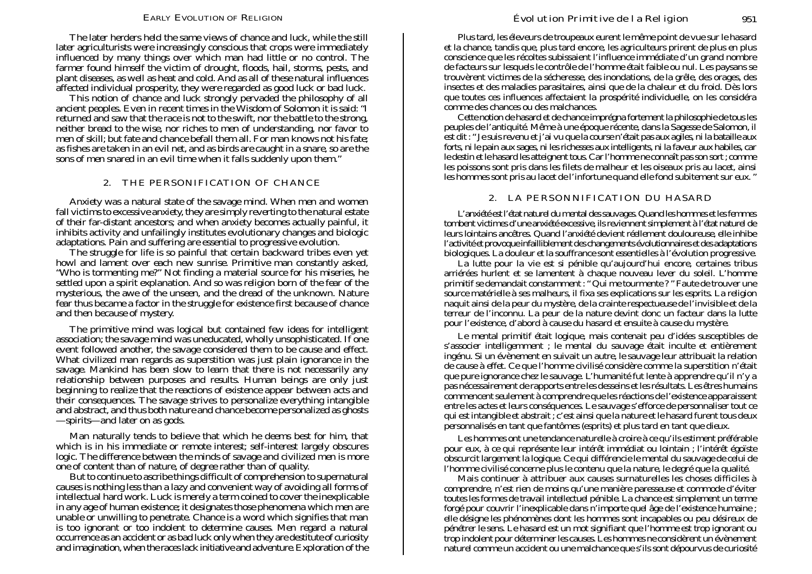The later herders held the same views of chance and luck, while the still later agriculturists were increasingly conscious that crops were immediately influenced by many things over which man had little or no control. The farmer found himself the victim of drought, floods, hail, storms, pests, and plant diseases, as well as heat and cold. And as all of these natural influences affected individual prosperity, they were regarded as good luck or bad luck.

This notion of chance and luck strongly pervaded the philosophy of all ancient peoples. Even in recent times in the Wisdom of Solomon it is said: "I returned and saw that the race is not to the swift, nor the battle to the strong, neither bread to the wise, nor riches to men of understanding, nor favor to men of skill; but fate and chance befall them all. For man knows not his fate; as fishes are taken in an evil net, and as birds are caught in a snare, so are the sons of men snared in an evil time when it falls suddenly upon them."

#### 2. THE PERSONIFICATION OF CHANCE

Anxiety was a natural state of the savage mind. When men and women fall victims to excessive anxiety, they are simply reverting to the natural estate of their far-distant ancestors; and when anxiety becomes actually painful, it inhibits activity and unfailingly institutes evolutionary changes and biologic adaptations. Pain and suffering are essential to progressive evolution.

The struggle for life is so painful that certain backward tribes even yet howl and lament over each new sunrise. Primitive man constantly asked, "Who is tormenting me?" Not finding a material source for his miseries, he settled upon a spirit explanation. And so was religion born of the fear of the mysterious, the awe of the unseen, and the dread of the unknown. Nature fear thus became a factor in the struggle for existence first because of chance and then because of mystery.

The primitive mind was logical but contained few ideas for intelligent association; the savage mind was uneducated, wholly unsophisticated. If one event followed another, the savage considered them to be cause and effect. What civilized man regards as superstition was just plain ignorance in the savage. Mankind has been slow to learn that there is not necessarily any relationship between purposes and results. Human beings are only just beginning to realize that the reactions of existence appear between acts and their consequences. The savage strives to personalize everything intangible and abstract, and thus both nature and chance become personalized as ghosts —spirits—and later on as gods.

Man naturally tends to believe that which he deems best for him, that which is in his immediate or remote interest; self-interest largely obscures logic. The difference between the minds of savage and civilized men is more one of content than of nature, of degree rather than of quality.

But to continue to ascribe things difficult of comprehension to supernatural causes is nothing less than a lazy and convenient way of avoiding all forms of intellectual hard work. Luck is merely a term coined to cover the inexplicable in any age of human existence; it designates those phenomena which men are unable or unwilling to penetrate. Chance is a word which signifies that man is too ignorant or too indolent to determine causes. Men regard a natural occurrence as an accident or as bad luck only when they are destitute of curiosity and imagination, when the races lack initiative and adventure. Exploration of the

Plus tard, les éleveurs de troupeaux eurent le même point de vue sur le hasard et la chance, tandis que, plus tard encore, les agriculteurs prirent de plus en plus conscience que les récoltes subissaient l'influence immédiate d'un grand nombre de facteurs sur lesquels le contrôle de l'homme était faible ou nul. Les paysans se trouvèrent victimes de la sécheresse, des inondations, de la grêle, des orages, des insectes et des maladies parasitaires, ainsi que de la chaleur et du froid. Dès lors que toutes ces influences affectaient la prospérité individuelle, on les considéra comme des chances ou des malchances.

Cette notion de hasard et de chance imprégna fortement la philosophie de tous les peuples de l'antiquité. Même à une époque récente, dans la Sagesse de Salomon, il est dit : " Je suis revenu et j'ai vu que la course n'était pas aux agiles, ni la bataille aux forts, ni le pain aux sages, ni les richesses aux intelligents, ni la faveur aux habiles, car le destin et le hasard les atteignent tous. Car l'homme ne connaît pas son sort ; comme les poissons sont pris dans les filets de malheur et les oiseaux pris au lacet, ainsi les hommes sont pris au lacet de l'infortune quand elle fond subitement sur eux. "

#### 2. LA PERSONNIFICATION DU HASARD

L'anxiété est l'état naturel du mental des sauvages. Quand les hommes et les femmes tombent victimes d'une anxiété excessive, ils reviennent simplement à l'état naturel de leurs lointains ancêtres. Quand l'anxiété devient réellement douloureuse, elle inhibe l'activité et provoque infailliblement des changements évolutionnaires et des adaptations biologiques. La douleur et la souffrance sont essentielles à l'évolution progressive.

La lutte pour la vie est si pénible qu'aujourd'hui encore, certaines tribus arriérées hurlent et se lamentent à chaque nouveau lever du soleil. L'homme primitif se demandait constamment : " Qui me tourmente ? " Faute de trouver une source matérielle à ses malheurs, il fixa ses explications sur les esprits. La religion naquit ainsi de la peur du mystère, de la crainte respectueuse de l'invisible et de la terreur de l'inconnu. La peur de la nature devint donc un facteur dans la lutte pour l'existence, d'abord à cause du hasard et ensuite à cause du mystère.

Le mental primitif était logique, mais contenait peu d'idées susceptibles de <sup>s</sup>'associer intelligemment ; le mental du sauvage était inculte et entièrement ingénu. Si un évènement en suivait un autre, le sauvage leur attribuait la relation de cause à effet. Ce que l'homme civilisé considère comme la superstition n'était que pure ignorance chez le sauvage. L'humanité fut lente à apprendre qu'il n'y a pas nécessairement de rapports entre les desseins et les résultats. Les êtres humains commencent seulement à comprendre que les réactions de l'existence apparaissent entre les actes et leurs conséquences. Le sauvage s'efforce de personnaliser tout ce qui est intangible et abstrait ; c'est ainsi que la nature et le hasard furent tous deux personnalisés en tant que fantômes (esprits) et plus tard en tant que dieux.

Les hommes ont une tendance naturelle à croire à ce qu'ils estiment préférable pour eux, à ce qui représente leur intérêt immédiat ou lointain ; l'intérêt égoïste obscurcit largement la logique. Ce qui différencie le mental du sauvage de celui de l'homme civilisé concerne plus le contenu que la nature, le degré que la qualité.

Mais continuer à attribuer aux causes surnaturelles les choses difficiles à comprendre, n'est rien de moins qu'une manière paresseuse et commode d'éviter toutes les formes de travail intellectuel pénible. La chance est simplement un terme forgé pour couvrir l'inexplicable dans n'importe quel âge de l'existence humaine ; elle désigne les phénomènes dont les hommes sont incapables ou peu désireux de pénétrer le sens. Le hasard est un mot signifiant que l'homme est trop ignorant ou trop indolent pour déterminer les causes. Les hommes ne considèrent un évènement naturel comme un accident ou une malchance que s'ils sont dépourvus de curiosité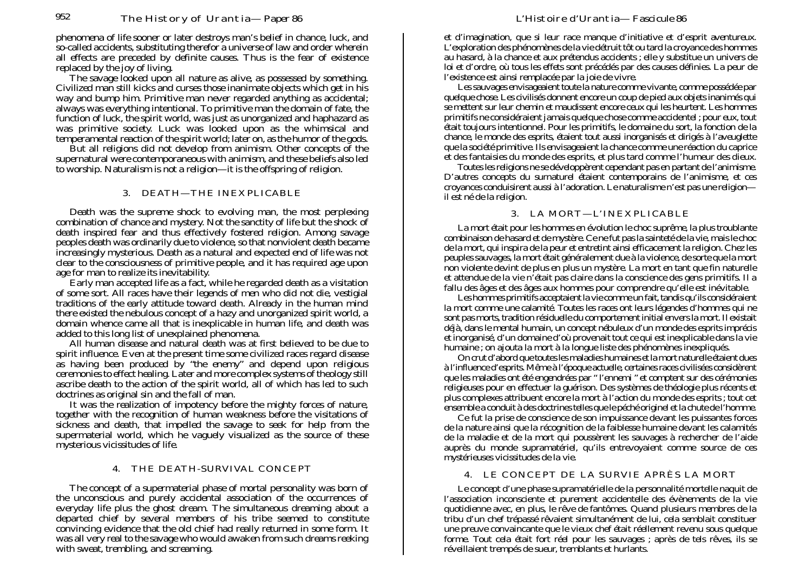phenomena of life sooner or later destroys man's belief in chance, luck, and so-called accidents, substituting therefor a universe of law and order wherein all effects are preceded by definite causes. Thus is the fear of existence replaced by the joy of living.

The savage looked upon all nature as alive, as possessed by something. Civilized man still kicks and curses those inanimate objects which get in his way and bump him. Primitive man never regarded anything as accidental; always was everything intentional. To primitive man the domain of fate, the function of luck, the spirit world, was just as unorganized and haphazard as was primitive society. Luck was looked upon as the whimsical and temperamental reaction of the spirit world; later on, as the humor of the gods.

But all religions did not develop from animism. Other concepts of the supernatural were contemporaneous with animism, and these beliefs also led to worship. Naturalism is not a religion—it is the offspring of religion.

# 3. DEATH—THE INEXPLICABLE

Death was the supreme shock to evolving man, the most perplexing combination of chance and mystery. Not the sanctity of life but the shock of death inspired fear and thus effectively fostered religion. Among savage peoples death was ordinarily due to violence, so that nonviolent death became increasingly mysterious. Death as a natural and expected end of life was not clear to the consciousness of primitive people, and it has required age upon age for man to realize its inevitability.

Early man accepted life as a fact, while he regarded death as a visitation of some sort. All races have their legends of men who did not die, vestigial traditions of the early attitude toward death. Already in the human mind there existed the nebulous concept of a hazy and unorganized spirit world, a domain whence came all that is inexplicable in human life, and death was added to this long list of unexplained phenomena.

All human disease and natural death was at first believed to be due to spirit influence. Even at the present time some civilized races regard disease as having been produced by "the enemy" and depend upon religious ceremonies to effect healing. Later and more complex systems of theology still ascribe death to the action of the spirit world, all of which has led to such doctrines as original sin and the fall of man.

It was the realization of impotency before the mighty forces of nature, together with the recognition of human weakness before the visitations of sickness and death, that impelled the savage to seek for help from the supermaterial world, which he vaguely visualized as the source of these mysterious vicissitudes of life.

# 4. THE DEATH-SURVIVAL CONCEPT

The concept of a supermaterial phase of mortal personality was born of the unconscious and purely accidental association of the occurrences of everyday life plus the ghost dream. The simultaneous dreaming about a departed chief by several members of his tribe seemed to constitute convincing evidence that the old chief had really returned in some form. It was all very real to the savage who would awaken from such dreams reeking with sweat, trembling, and screaming.

et d'imagination, que si leur race manque d'initiative et d'esprit aventureux. L'exploration des phénomènes de la vie détruit tôt ou tard la croyance des hommes au hasard, à la chance et aux prétendus accidents ; elle y substitue un univers de loi et d'ordre, où tous les effets sont précédés par des causes définies. La peur de l'existence est ainsi remplacée par la joie de vivre.

Les sauvages envisageaient toute la nature comme vivante, comme possédée par quelque chose. Les civilisés donnent encore un coup de pied aux objets inanimés qui se mettent sur leur chemin et maudissent encore ceux qui les heurtent. Les hommes primitifs ne considéraient jamais quelque chose comme accidentel ; pour eux, tout était toujours intentionnel. Pour les primitifs, le domaine du sort, la fonction de la chance, le monde des esprits, étaient tout aussi inorganisés et dirigés à l'aveuglette que la société primitive. Ils envisageaient la chance comme une réaction du caprice et des fantaisies du monde des esprits, et plus tard comme l'humeur des dieux.

Toutes les religions ne se développèrent cependant pas en partant de l'animisme. D'autres concepts du surnaturel étaient contemporains de l'animisme, et ces croyances conduisirent aussi à l'adoration. Le naturalisme n'est pas une religion il est né de la religion.

### 3. LA MORT—L'INEXPLICABLE

La mort était pour les hommes en évolution le choc suprême, la plus troublante combinaison de hasard et de mystère. Ce ne fut pas la sainteté de la vie, mais le choc de la mort, qui inspira de la peur et entretint ainsi efficacement la religion. Chez les peuples sauvages, la mort était généralement due à la violence, de sorte que la mort non violente devint de plus en plus un mystère. La mort en tant que fin naturelle et attendue de la vie n'était pas claire dans la conscience des gens primitifs. Il a fallu des âges et des âges aux hommes pour comprendre qu'elle est inévitable.

Les hommes primitifs acceptaient la vie comme un fait, tandis qu'ils considéraient la mort comme une calamité. Toutes les races ont leurs légendes d'hommes qui ne sont pas morts, tradition résiduelle du comportement initial envers la mort. Il existait déjà, dans le mental humain, un concept nébuleux d'un monde des esprits imprécis et inorganisé, d'un domaine d'où provenait tout ce qui est inexplicable dans la vie humaine ; on ajouta la mort à la longue liste des phénomènes inexpliqués.

On crut d'abord que toutes les maladies humaines et la mort naturelle étaient dues à l'influence d'esprits. Même à l'époque actuelle, certaines races civilisées considèrent que les maladies ont été engendrées par " l'ennemi " et comptent sur des cérémonies religieuses pour en effectuer la guérison. Des systèmes de théologie plus récents et plus complexes attribuent encore la mort à l'action du monde des esprits ; tout cet ensemble a conduit à des doctrines telles que le péché originel et la chute de l'homme.

Ce fut la prise de conscience de son impuissance devant les puissantes forces de la nature ainsi que la récognition de la faiblesse humaine devant les calamités de la maladie et de la mort qui poussèrent les sauvages à rechercher de l'aide auprès du monde supramatériel, qu'ils entrevoyaient comme source de ces mystérieuses vicissitudes de la vie.

# 4. LE CONCEPT DE LA SURVIE APRÈS LA MORT

Le concept d'une phase supramatérielle de la personnalité mortelle naquit de l'association inconsciente et purement accidentelle des évènements de la vie quotidienne avec, en plus, le rêve de fantômes. Quand plusieurs membres de la tribu d'un chef trépassé rêvaient simultanément de lui, cela semblait constituer une preuve convaincante que le vieux chef était réellement revenu sous quelque forme. Tout cela était fort réel pour les sauvages ; après de tels rêves, ils se réveillaient trempés de sueur, tremblants et hurlants.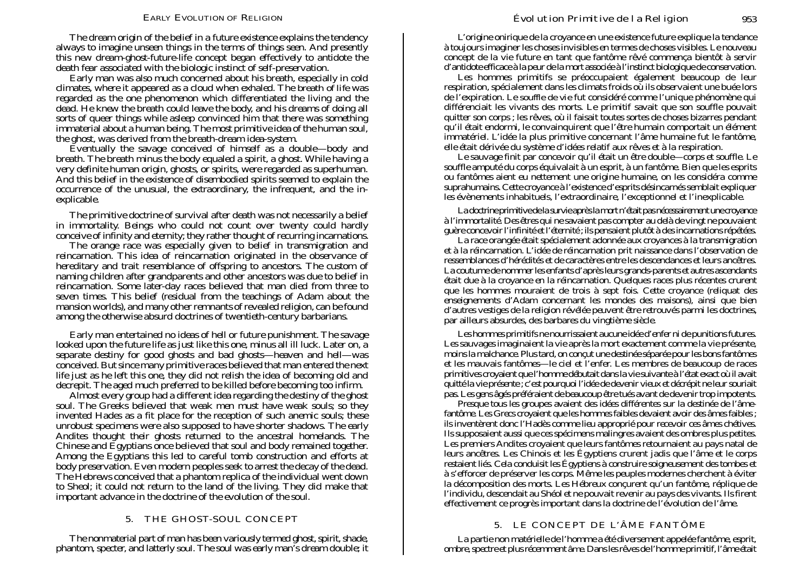The dream origin of the belief in a future existence explains the tendency always to imagine unseen things in the terms of things seen. And presently this new dream-ghost-future-life concept began effectively to antidote the death fear associated with the biologic instinct of self-preservation.

Early man was also much concerned about his breath, especially in cold climates, where it appeared as a cloud when exhaled. The *breath of life* was regarded as the one phenomenon which differentiated the living and the dead. He knew the breath could leave the body, and his dreams of doing all sorts of queer things while asleep convinced him that there was something immaterial about a human being. The most primitive idea of the human soul, the ghost, was derived from the breath-dream idea-system.

Eventually the savage conceived of himself as a double—body and breath. The breath minus the body equaled a spirit, a ghost. While having a very definite human origin, ghosts, or spirits, were regarded as superhuman. And this belief in the existence of disembodied spirits seemed to explain the occurrence of the unusual, the extraordinary, the infrequent, and the inexplicable.

The primitive doctrine of survival after death was not necessarily a belief in immortality. Beings who could not count over twenty could hardly conceive of infinity and eternity; they rather thought of recurring incarnations.

The orange race was especially given to belief in transmigration and reincarnation. This idea of reincarnation originated in the observance of hereditary and trait resemblance of offspring to ancestors. The custom of naming children after grandparents and other ancestors was due to belief in reincarnation. Some later-day races believed that man died from three to seven times. This belief (residual from the teachings of Adam about the mansion worlds), and many other remnants of revealed religion, can be found among the otherwise absurd doctrines of twentieth-century barbarians.

Early man entertained no ideas of hell or future punishment. The savage looked upon the future life as just like this one, minus all ill luck. Later on, a separate destiny for good ghosts and bad ghosts—heaven and hell—was conceived. But since many primitive races believed that man entered the next life just as he left this one, they did not relish the idea of becoming old and decrepit. The aged much preferred to be killed before becoming too infirm.

Almost every group had a different idea regarding the destiny of the ghost soul. The Greeks believed that weak men must have weak souls; so they invented Hades as a fit place for the reception of such anemic souls; these unrobust specimens were also supposed to have shorter shadows. The early Andites thought their ghosts returned to the ancestral homelands. The Chinese and Egyptians once believed that soul and body remained together. Among the Egyptians this led to careful tomb construction and efforts at body preservation. Even modern peoples seek to arrest the decay of the dead. The Hebrews conceived that a phantom replica of the individual went down to Sheol; it could not return to the land of the living. They did make that important advance in the doctrine of the evolution of the soul.

### 5. THE GHOST-SOUL CONCEPT

The nonmaterial part of man has been variously termed ghost, spirit, shade, phantom, specter, and latterly *soul.* The soul was early man's dream double; it

L'origine onirique de la croyance en une existence future explique la tendance à toujours imaginer les choses invisibles en termes de choses visibles. Le nouveau concept de la vie future en tant que fantôme rêvé commença bientôt à servir d'antidote efficace à la peur de la mort associée à l'instinct biologique de conservation.

Les hommes primitifs se préoccupaient également beaucoup de leur respiration, spécialement dans les climats froids où ils observaient une buée lors de l'expiration. Le *souffle de vie* fut considéré comme l'unique phénomène qui différenciait les vivants des morts. Le primitif savait que son souffle pouvait quitter son corps ; les rêves, où il faisait toutes sortes de choses bizarres pendant qu'il était endormi, le convainquirent que l'être humain comportait un élément immatériel. L'idée la plus primitive concernant l'âme humaine fut le fantôme, elle était dérivée du système d'idées relatif aux rêves et à la respiration.

Le sauvage finit par concevoir qu'il était un être double—corps et souffle. Le souffle amputé du corps équivalait à un esprit, à un fantôme. Bien que les esprits ou fantômes aient eu nettement une origine humaine, on les considéra comme suprahumains. Cette croyance à l'existence d'esprits désincarnés semblait expliquer les évènements inhabituels, l'extraordinaire, l'exceptionnel et l'inexplicable.

La doctrine primitive de la survie après la mort n'était pas nécessairement une croyance à l'immortalité. Des êtres qui ne savaient pas compter au delà de vingt ne pouvaient guère concevoir l'infinité et l'éternité ; ils pensaient plutôt à des incarnations répétées.

La race orangée était spécialement adonnée aux croyances à la transmigration et à la réincarnation. L'idée de réincarnation prit naissance dans l'observation de ressemblances d'hérédités et de caractères entre les descendances et leurs ancêtres. La coutume de nommer les enfants d'après leurs grands-parents et autres ascendants était due à la croyance en la réincarnation. Quelques races plus récentes crurent que les hommes mouraient de trois à sept fois. Cette croyance (reliquat des enseignements d'Adam concernant les mondes des maisons), ainsi que bien d'autres vestiges de la religion révélée peuvent être retrouvés parmi les doctrines, par ailleurs absurdes, des barbares du vingtième siècle.

Les hommes primitifs ne nourrissaient aucune idée d'enfer ni de punitions futures. Les sauvages imaginaient la vie après la mort exactement comme la vie présente, moins la malchance. Plus tard, on conçut une destinée séparée pour les bons fantômes et les mauvais fantômes—le ciel et l'enfer. Les membres de beaucoup de races primitives croyaient que l'homme débutait dans la vie suivante à l'état exact où il avait quitté la vie présente ; c'est pourquoi l'idée de devenir vieux et décrépit ne leur souriait pas. Les gens âgés préféraient de beaucoup être tués avant de devenir trop impotents.

Presque tous les groupes avaient des idées différentes sur la destinée de l'âmefantôme. Les Grecs croyaient que les hommes faibles devaient avoir des âmes faibles ; ils inventèrent donc l'Hadès comme lieu approprié pour recevoir ces âmes chétives. Ils supposaient aussi que ces spécimens malingres avaient des ombres plus petites. Les premiers Andites croyaient que leurs fantômes retournaient au pays natal de<br>leurs ancêtres. Les Chinois et les Égyptiens crurent jadis que l'âme et le corps<br>restaient liés. Cela conduisit les Égyptiens à construire soi à s'efforcer de préserver les corps. Même les peuples modernes cherchent à éviter la décomposition des morts. Les Hébreux conçurent qu'un fantôme, réplique de l'individu, descendait au Shéol et ne pouvait revenir au pays des vivants. Ils firent effectivement ce progrès important dans la doctrine de l'évolution de l'âme.

### 5. LE CONCEPT DE L'ÂME FANTÔME

La partie non matérielle de l'homme a été diversement appelée fantôme, esprit, ombre, spectre et plus récemment *âme*. Dans les rêves de l'homme primitif, l'âme était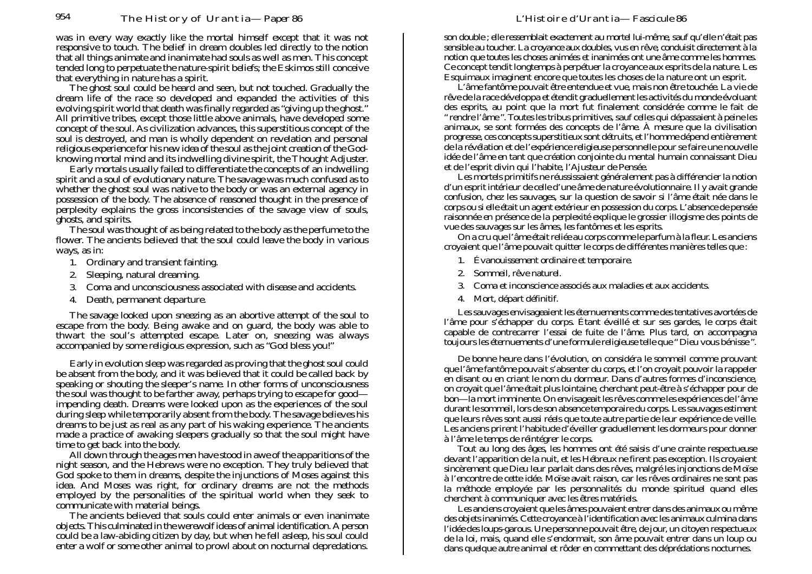was in every way exactly like the mortal himself except that it was not responsive to touch. The belief in dream doubles led directly to the notion that all things animate and inanimate had souls as well as men. This concept tended long to perpetuate the nature-spirit beliefs; the Eskimos still conceive that everything in nature has a spirit.

The ghost soul could be heard and seen, but not touched. Gradually the dream life of the race so developed and expanded the activities of this evolving spirit world that death was finally regarded as "giving up the ghost." All primitive tribes, except those little above animals, have developed some concept of the soul. As civilization advances, this superstitious concept of the soul is destroyed, and man is wholly dependent on revelation and personal religious experience for his new idea of the soul as the joint creation of the Godknowing mortal mind and its indwelling divine spirit, the Thought Adjuster.

Early mortals usually failed to differentiate the concepts of an indwelling spirit and a soul of evolutionary nature. The savage was much confused as to whether the ghost soul was native to the body or was an external agency in possession of the body. The absence of reasoned thought in the presence of perplexity explains the gross inconsistencies of the savage view of souls, ghosts, and spirits.

The soul was thought of as being related to the body as the perfume to the flower. The ancients believed that the soul could leave the body in various ways, as in:

- 1. Ordinary and transient fainting.
- 2. Sleeping, natural dreaming.
- 3. Coma and unconsciousness associated with disease and accidents.
- 4. Death, permanent departure.

The savage looked upon sneezing as an abortive attempt of the soul to escape from the body. Being awake and on guard, the body was able to thwart the soul's attempted escape. Later on, sneezing was always accompanied by some religious expression, such as "God bless you!"

Early in evolution sleep was regarded as proving that the ghost soul could be absent from the body, and it was believed that it could be called back by speaking or shouting the sleeper's name. In other forms of unconsciousness the soul was thought to be farther away, perhaps trying to escape for good impending death. Dreams were looked upon as the experiences of the soul during sleep while temporarily absent from the body. The savage believes his dreams to be just as real as any part of his waking experience. The ancients made a practice of awaking sleepers gradually so that the soul might have time to get back into the body.

All down through the ages men have stood in awe of the apparitions of the night season, and the Hebrews were no exception. They truly believed that God spoke to them in dreams, despite the injunctions of Moses against this idea. And Moses was right, for ordinary dreams are not the methods employed by the personalities of the spiritual world when they seek to communicate with material beings.

The ancients believed that souls could enter animals or even inanimate objects. This culminated in the werewolf ideas of animal identification. A person could be a law-abiding citizen by day, but when he fell asleep, his soul could enter a wolf or some other animal to prowl about on nocturnal depredations.

son double ; elle ressemblait exactement au mortel lui-même, sauf qu'elle n'était pas sensible au toucher. La croyance aux doubles, vus en rêve, conduisit directement à la notion que toutes les choses animées et inanimées ont une âme comme les hommes. Ce concept tendit longtemps à perpétuer la croyance aux esprits de la nature. Les Esquimaux imaginent encore que toutes les choses de la nature ont un esprit.

L'âme fantôme pouvait être entendue et vue, mais non être touchée. La vie de rêve de la race développa et étendit graduellement les activités du monde évoluant des esprits, au point que la mort fut finalement considérée comme le fait de " rendre l'âme ". Toutes les tribus primitives, sauf celles qui dépassaient à peine les<br>animaux, se sont formées des concepts de l'âme. À mesure que la civilisation progresse, ces concepts superstitieux sont détruits, et l'homme dépend entièrement de la révélation et de l'expérience religieuse personnelle pour se faire une nouvelle idée de l'âme en tant que création conjointe du mental humain connaissant Dieu et de l'esprit divin qui l'habite, l'Ajusteur de Pensée.

Les mortels primitifs ne réussissaient généralement pas à différencier la notion d'un esprit intérieur de celle d'une âme de nature évolutionnaire. Il y avait grande confusion, chez les sauvages, sur la question de savoir si l'âme était née dans le corps ou si elle était un agent extérieur en possession du corps. L'absence de pensée raisonnée en présence de la perplexité explique le grossier illogisme des points de vue des sauvages sur les âmes, les fantômes et les esprits.

On a cru que l'âme était reliée au corps comme le parfum à la fleur. Les anciens croyaient que l'âme pouvait quitter le corps de différentes manières telles que :

- 1. Évanouissement ordinaire et temporaire.
- 2. Sommeil, rêve naturel.
- 3. Coma et inconscience associés aux maladies et aux accidents.
- 4. Mort, départ définitif.

Les sauvages envisageaient les éternuements comme des tentatives avortées de l'âme pour s'échapper du corps. Étant éveillé et sur ses gardes, le corps était capable de contrecarrer l'essai de fuite de l'âme. Plus tard, on accompagna toujours les éternuements d'une formule religieuse telle que " Dieu vous bénisse ".

De bonne heure dans l'évolution, on considéra le sommeil comme prouvant que l'âme fantôme pouvait s'absenter du corps, et l'on croyait pouvoir la rappeler en disant ou en criant le nom du dormeur. Dans d'autres formes d'inconscience, on croyait que l'âme était plus lointaine, cherchant peut-être à s'échapper pour de bon—la mort imminente. On envisageait les rêves comme les expériences de l'âme durant le sommeil, lors de son absence temporaire du corps. Les sauvages estiment que leurs rêves sont aussi réels que toute autre partie de leur expérience de veille. Les anciens prirent l'habitude d'éveiller graduellement les dormeurs pour donner à l'âme le temps de réintégrer le corps.

Tout au long des âges, les hommes ont été saisis d'une crainte respectueuse devant l'apparition de la nuit, et les Hébreux ne firent pas exception. Ils croyaient sincèrement que Dieu leur parlait dans des rêves, malgré les injonctions de Moïse à l'encontre de cette idée. Moïse avait raison, car les rêves ordinaires ne sont pas la méthode employée par les personnalités du monde spirituel quand elles cherchent à communiquer avec les êtres matériels.

Les anciens croyaient que les âmes pouvaient entrer dans des animaux ou même des objets inanimés. Cette croyance à l'identification avec les animaux culmina dans l'idée des loups-garous. Une personne pouvait être, de jour, un citoyen respectueux de la loi, mais, quand elle s'endormait, son âme pouvait entrer dans un loup ou dans quelque autre animal et rôder en commettant des déprédations nocturnes.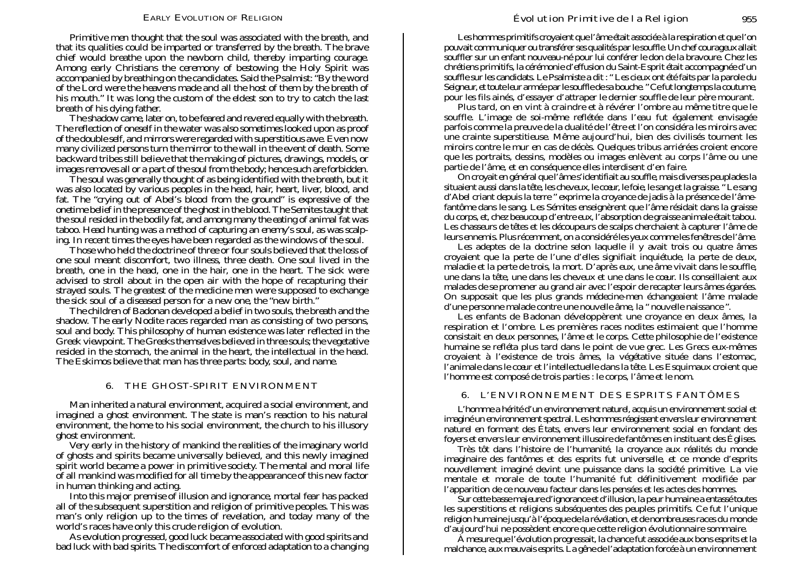Primitive men thought that the soul was associated with the breath, and that its qualities could be imparted or transferred by the breath. The brave chief would breathe upon the newborn child, thereby imparting courage. Among early Christians the ceremony of bestowing the Holy Spirit was accompanied by breathing on the candidates. Said the Psalmist: "By the word of the Lord were the heavens made and all the host of them by the breath of his mouth." It was long the custom of the eldest son to try to catch the last breath of his dying father.

The shadow came, later on, to be feared and revered equally with the breath. The reflection of oneself in the water was also sometimes looked upon as proof of the double self, and mirrors were regarded with superstitious awe. Even now many civilized persons turn the mirror to the wall in the event of death. Some backward tribes still believe that the making of pictures, drawings, models, or images removes all or a part of the soul from the body; hence such are forbidden.

The soul was generally thought of as being identified with the breath, but it was also located by various peoples in the head, hair, heart, liver, blood, and fat. The "crying out of Abel's blood from the ground" is expressive of the onetime belief in the presence of the ghost in the blood. The Semites taught that the soul resided in the bodily fat, and among many the eating of animal fat was taboo. Head hunting was a method of capturing an enemy's soul, as was scalping. In recent times the eyes have been regarded as the windows of the soul.

Those who held the doctrine of three or four souls believed that the loss of one soul meant discomfort, two illness, three death. One soul lived in the breath, one in the head, one in the hair, one in the heart. The sick were advised to stroll about in the open air with the hope of recapturing their strayed souls. The greatest of the medicine men were supposed to exchange the sick soul of a diseased person for a new one, the "new birth."

The children of Badonan developed a belief in two souls, the breath and the shadow. The early Nodite races regarded man as consisting of two persons, soul and body. This philosophy of human existence was later reflected in the Greek viewpoint. The Greeks themselves believed in three souls; the vegetative resided in the stomach, the animal in the heart, the intellectual in the head. The Eskimos believe that man has three parts: body, soul, and name.

#### 6. THE GHOST-SPIRIT ENVIRONMENT

Man inherited a natural environment, acquired a social environment, and imagined a ghost environment. The state is man's reaction to his natural environment, the home to his social environment, the church to his illusory ghost environment.

Very early in the history of mankind the realities of the imaginary world of ghosts and spirits became universally believed, and this newly imagined spirit world became a power in primitive society. The mental and moral life of all mankind was modified for all time by the appearance of this new factor in human thinking and acting.

Into this major premise of illusion and ignorance, mortal fear has packed all of the subsequent superstition and religion of primitive peoples. This was man's only religion up to the times of revelation, and today many of the world's races have only this crude religion of evolution.

As evolution progressed, good luck became associated with good spirits and bad luck with bad spirits. The discomfort of enforced adaptation to a changing

Les hommes primitifs croyaient que l'âme était associée à la respiration et que l'on pouvait communiquer ou transférer ses qualités par le souffle. Un chef courageux allait souffler sur un enfant nouveau-né pour lui conférer le don de la bravoure. Chez les chrétiens primitifs, la cérémonie d'effusion du Saint-Esprit était accompagnée d'un souffle sur les candidats. Le Psalmiste a dit : " Les cieux ont été faits par la parole du Seigneur, et toute leur armée par le souffle de sa bouche. " Ce fut longtemps la coutume, pour les fils ainés, d'essayer d'attraper le dernier souffle de leur père mourant.

Plus tard, on en vint à craindre et à révérer l'ombre au même titre que le souffle. L'image de soi-même reflétée dans l'eau fut également envisagée parfois comme la preuve de la dualité de l'être et l'on considéra les miroirs avec une crainte superstitieuse. Même aujourd'hui, bien des civilisés tournent les miroirs contre le mur en cas de décès. Quelques tribus arriérées croient encore que les portraits, dessins, modèles ou images enlèvent au corps l'âme ou une partie de l'âme, et en conséquence elles interdisent d'en faire.

On croyait en général que l'âme s'identifiait au souffle, mais diverses peuplades la situaient aussi dans la tête, les cheveux, le cœur, le foie, le sang et la graisse. " Le sang d'Abel criant depuis la terre " exprime la croyance de jadis à la présence de l'âmefantôme dans le sang. Les Sémites enseignèrent que l'âme résidait dans la graisse du corps, et, chez beaucoup d'entre eux, l'absorption de graisse animale était tabou. Les chasseurs de têtes et les découpeurs de scalps cherchaient à capturer l'âme de leurs ennemis. Plus récemment, on a considéré les yeux comme les fenêtres de l'âme.

Les adeptes de la doctrine selon laquelle il y avait trois ou quatre âmes croyaient que la perte de l'une d'elles signifiait inquiétude, la perte de deux, maladie et la perte de trois, la mort. D'après eux, une âme vivait dans le souffle, une dans la tête, une dans les cheveux et une dans le cœur. Ils conseillaient aux malades de se promener au grand air avec l'espoir de recapter leurs âmes égarées. On supposait que les plus grands médecine-men échangeaient l'âme malade d'une personne malade contre une nouvelle âme, la " nouvelle naissance ".

Les enfants de Badonan développèrent une croyance en deux âmes, la respiration et l'ombre. Les premières races nodites estimaient que l'homme consistait en deux personnes, l'âme et le corps. Cette philosophie de l'existence humaine se refléta plus tard dans le point de vue grec. Les Grecs eux-mêmes croyaient à l'existence de trois âmes, la végétative située dans l'estomac, l'animale dans le cœur et l'intellectuelle dans la tête. Les Esquimaux croient que l'homme est composé de trois parties : le corps, l'âme et le nom.

#### 6. L'ENVIRONNEMENT DES ESPRITS FANTÔMES

L'homme a hérité d'un environnement naturel, acquis un environnement social et imaginé un environnement spectral. Les hommes réagissent envers leur environnement naturel en formant des États, envers leur environnement social en fondant des foyers et envers leur environnement illusoire de fantômes en instituant des Églises.

Très tôt dans l'histoire de l'humanité, la croyance aux réalités du monde imaginaire des fantômes et des esprits fut universelle, et ce monde d'esprits nouvellement imaginé devint une puissance dans la société primitive. La vie mentale et morale de toute l'humanité fut définitivement modifiée par l'apparition de ce nouveau facteur dans les pensées et les actes des hommes.

Sur cette basse majeure d'ignorance et d'illusion, la peur humaine a entassé toutes les superstitions et religions subséquentes des peuples primitifs. Ce fut l'unique religion humaine jusqu'à l'époque de la révélation, et de nombreuses races du monde

d'aujourd'hui ne possèdent encore que cette religion évolutionnaire sommaire. À mesure que l'évolution progressait, la chance fut associée aux bons esprits et la malchance, aux mauvais esprits. La gêne de l'adaptation forcée à un environnement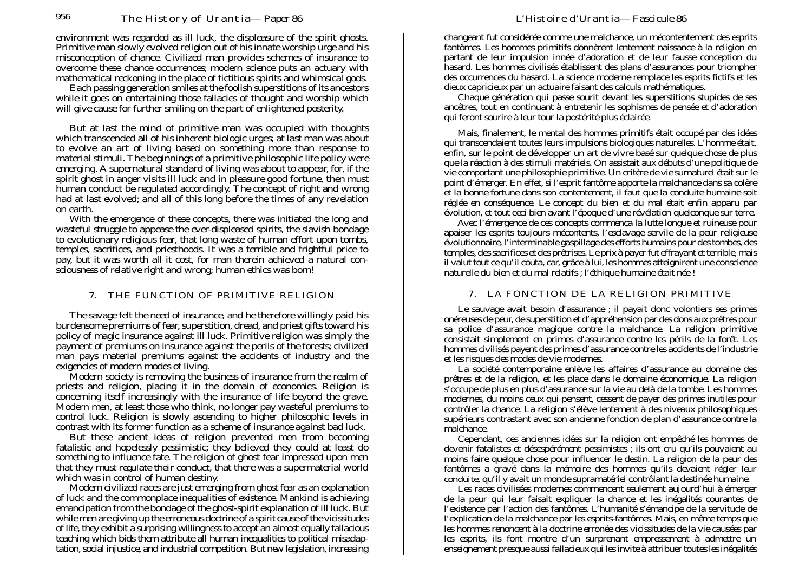environment was regarded as ill luck, the displeasure of the spirit ghosts. Primitive man slowly evolved religion out of his innate worship urge and his misconception of chance. Civilized man provides schemes of insurance to overcome these chance occurrences; modern science puts an actuary with mathematical reckoning in the place of fictitious spirits and whimsical gods.

Each passing generation smiles at the foolish superstitions of its ancestors while it goes on entertaining those fallacies of thought and worship which will give cause for further smiling on the part of enlightened posterity.

But at last the mind of primitive man was occupied with thoughts which transcended all of his inherent biologic urges; at last man was about to evolve an art of living based on something more than response to material stimuli. The beginnings of a primitive philosophic life policy were emerging. A supernatural standard of living was about to appear, for, if the spirit ghost in anger visits ill luck and in pleasure good fortune, then must human conduct be regulated accordingly. The concept of right and wrong had at last evolved; and all of this long before the times of any revelation on earth.

With the emergence of these concepts, there was initiated the long and wasteful struggle to appease the ever-displeased spirits, the slavish bondage to evolutionary religious fear, that long waste of human effort upon tombs, temples, sacrifices, and priesthoods. It was a terrible and frightful price to pay, but it was worth all it cost, for man therein achieved a natural consciousness of relative right and wrong; human ethics was born!

## 7. THE FUNCTION OF PRIMITIVE RELIGION

The savage felt the need of insurance, and he therefore willingly paid his burdensome premiums of fear, superstition, dread, and priest gifts toward his policy of magic insurance against ill luck. Primitive religion was simply the payment of premiums on insurance against the perils of the forests; civilized man pays material premiums against the accidents of industry and the exigencies of modern modes of living.

Modern society is removing the business of insurance from the realm of priests and religion, placing it in the domain of economics. Religion is concerning itself increasingly with the insurance of life beyond the grave. Modern men, at least those who think, no longer pay wasteful premiums to control luck. Religion is slowly ascending to higher philosophic levels in contrast with its former function as a scheme of insurance against bad luck.

But these ancient ideas of religion prevented men from becoming fatalistic and hopelessly pessimistic; they believed they could at least do something to influence fate. The religion of ghost fear impressed upon men that they must *regulate their conduct,* that there was a supermaterial world which was in control of human destiny.

Modern civilized races are just emerging from ghost fear as an explanation of luck and the commonplace inequalities of existence. Mankind is achieving emancipation from the bondage of the ghost-spirit explanation of ill luck. But while men are giving up the erroneous doctrine of a spirit cause of the vicissitudes of life, they exhibit a surprising willingness to accept an almost equally fallacious teaching which bids them attribute all human inequalities to political misadaptation, social injustice, and industrial competition. But new legislation, increasing

changeant fut considérée comme une malchance, un mécontentement des esprits fantômes. Les hommes primitifs donnèrent lentement naissance à la religion en partant de leur impulsion innée d'adoration et de leur fausse conception du hasard. Les hommes civilisés établissent des plans d'assurances pour triompher des occurrences du hasard. La science moderne remplace les esprits fictifs et les dieux capricieux par un actuaire faisant des calculs mathématiques.

Chaque génération qui passe sourit devant les superstitions stupides de ses ancêtres, tout en continuant à entretenir les sophismes de pensée et d'adoration qui feront sourire à leur tour la postérité plus éclairée.

Mais, finalement, le mental des hommes primitifs était occupé par des idées qui transcendaient toutes leurs impulsions biologiques naturelles. L'homme était, enfin, sur le point de développer un art de vivre basé sur quelque chose de plus que la réaction à des stimuli matériels. On assistait aux débuts d'une politique de vie comportant une philosophie primitive. Un critère de vie surnaturel était sur le point d'émerger. En effet, si l'esprit fantôme apporte la malchance dans sa colère et la bonne fortune dans son contentement, il faut que la conduite humaine soit réglée en conséquence. Le concept du bien et du mal était enfin apparu par évolution, et tout ceci bien avant l'époque d'une révélation quelconque sur terre.

Avec l'émergence de ces concepts commença la lutte longue et ruineuse pour apaiser les esprits toujours mécontents, l'esclavage servile de la peur religieuse évolutionnaire, l'interminable gaspillage des efforts humains pour des tombes, des temples, des sacrifices et des prêtrises. Le prix à payer fut effrayant et terrible, mais il valut tout ce qu'il couta, car, grâce à lui, les hommes atteignirent une conscience naturelle du bien et du mal relatifs ; l'éthique humaine était née !

### 7. LA FONCTION DE LA RELIGION PRIMITIVE

Le sauvage avait besoin d'assurance ; il payait donc volontiers ses primes onéreuses de peur, de superstition et d'appréhension par des dons aux prêtres pour sa police d'assurance magique contre la malchance. La religion primitive consistait simplement en primes d'assurance contre les périls de la forêt. Les hommes civilisés payent des primes d'assurance contre les accidents de l'industrie et les risques des modes de vie modernes.

La société contemporaine enlève les affaires d'assurance au domaine des prêtres et de la religion, et les place dans le domaine économique. La religion <sup>s</sup>'occupe de plus en plus d'assurance sur la vie au delà de la tombe. Les hommes modernes, du moins ceux qui pensent, cessent de payer des primes inutiles pour contrôler la chance. La religion s'élève lentement à des niveaux philosophiques supérieurs contrastant avec son ancienne fonction de plan d'assurance contre la malchance.

Cependant, ces anciennes idées sur la religion ont empêché les hommes de devenir fatalistes et désespérément pessimistes ; ils ont cru qu'ils pouvaient au moins faire quelque chose pour influencer le destin. La religion de la peur des fantômes a gravé dans la mémoire des hommes qu'ils devaient *régler leur conduite,* qu'il y avait un monde supramatériel contrôlant la destinée humaine.

Les races civilisées modernes commencent seulement aujourd'hui à émerger de la peur qui leur faisait expliquer la chance et les inégalités courantes de l'existence par l'action des fantômes. L'humanité s'émancipe de la servitude de l'explication de la malchance par les esprits-fantômes. Mais, en même temps que les hommes renoncent à la doctrine erronée des vicissitudes de la vie causées par les esprits, ils font montre d'un surprenant empressement à admettre un enseignement presque aussi fallacieux qui les invite à attribuer toutes les inégalités